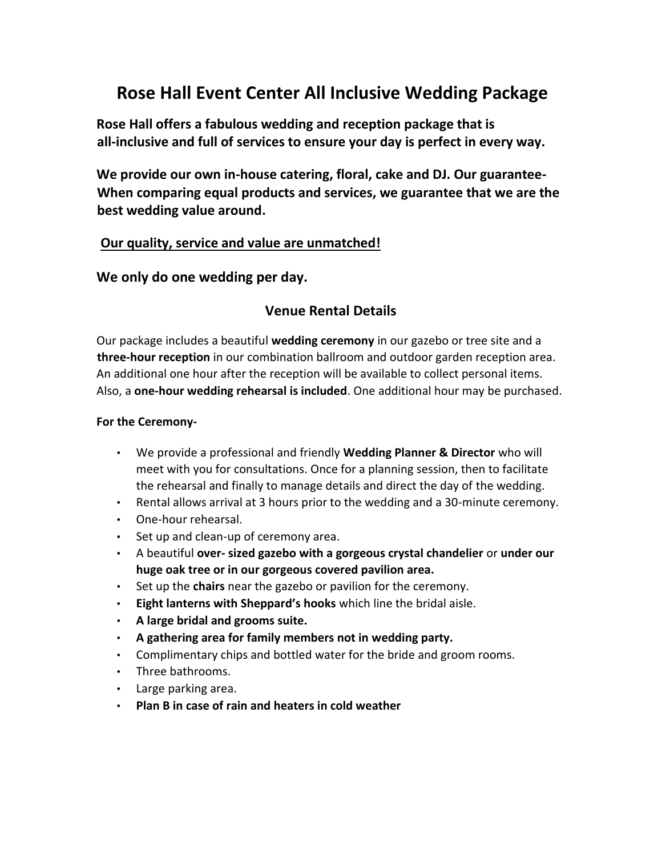# **Rose Hall Event Center All Inclusive Wedding Package**

**Rose Hall offers a fabulous wedding and reception package that is all-inclusive and full of services to ensure your day is perfect in every way.** 

**We provide our own in-house catering, floral, cake and DJ. Our guarantee-When comparing equal products and services, we guarantee that we are the best wedding value around.** 

### **Our quality, service and value are unmatched!**

**We only do one wedding per day.** 

### **Venue Rental Details**

Our package includes a beautiful **wedding ceremony** in our gazebo or tree site and a **three-hour reception** in our combination ballroom and outdoor garden reception area. An additional one hour after the reception will be available to collect personal items. Also, a **one-hour wedding rehearsal is included**. One additional hour may be purchased.

### **For the Ceremony-**

- We provide a professional and friendly **Wedding Planner & Director** who will meet with you for consultations. Once for a planning session, then to facilitate the rehearsal and finally to manage details and direct the day of the wedding.
- Rental allows arrival at 3 hours prior to the wedding and a 30-minute ceremony.
- One-hour rehearsal.
- Set up and clean-up of ceremony area.
- A beautiful **over- sized gazebo with a gorgeous crystal chandelier** or **under our huge oak tree or in our gorgeous covered pavilion area.**
- Set up the **chairs** near the gazebo or pavilion for the ceremony.
- **Eight lanterns with Sheppard's hooks** which line the bridal aisle.
- **A large bridal and grooms suite.**
- **A gathering area for family members not in wedding party.**
- Complimentary chips and bottled water for the bride and groom rooms.
- Three bathrooms.
- Large parking area.
- **Plan B in case of rain and heaters in cold weather**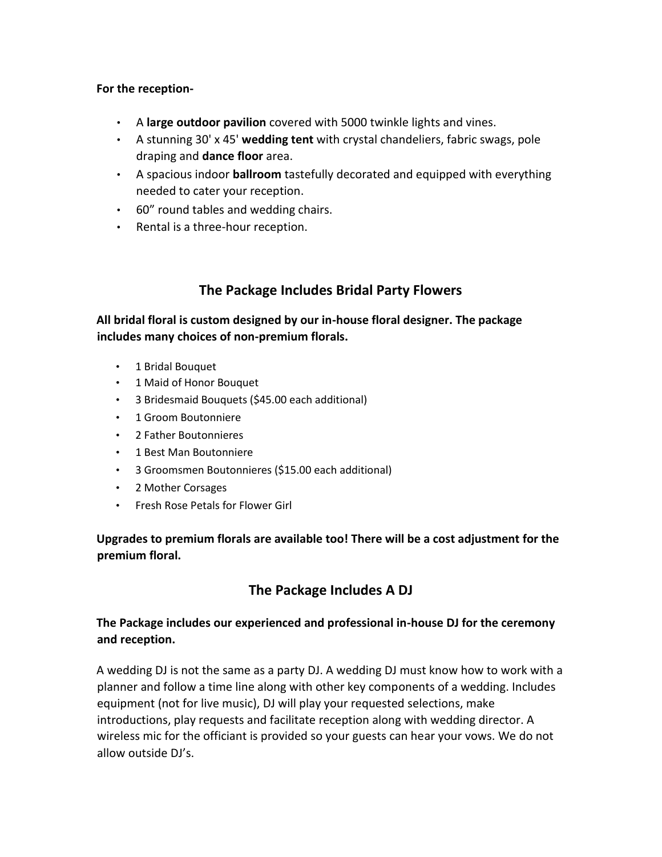### **For the reception-**

- A **large outdoor pavilion** covered with 5000 twinkle lights and vines.
- A stunning 30' x 45' **wedding tent** with crystal chandeliers, fabric swags, pole draping and **dance floor** area.
- A spacious indoor **ballroom** tastefully decorated and equipped with everything needed to cater your reception.
- 60" round tables and wedding chairs.
- Rental is a three-hour reception.

# **The Package Includes Bridal Party Flowers**

**All bridal floral is custom designed by our in-house floral designer. The package includes many choices of non-premium florals.** 

- 1 Bridal Bouquet
- 1 Maid of Honor Bouquet
- 3 Bridesmaid Bouquets (\$45.00 each additional)
- 1 Groom Boutonniere
- 2 Father Boutonnieres
- 1 Best Man Boutonniere
- 3 Groomsmen Boutonnieres (\$15.00 each additional)
- 2 Mother Corsages
- Fresh Rose Petals for Flower Girl

**Upgrades to premium florals are available too! There will be a cost adjustment for the premium floral.**

## **The Package Includes A DJ**

### **The Package includes our experienced and professional in-house DJ for the ceremony and reception.**

A wedding DJ is not the same as a party DJ. A wedding DJ must know how to work with a planner and follow a time line along with other key components of a wedding. Includes equipment (not for live music), DJ will play your requested selections, make introductions, play requests and facilitate reception along with wedding director. A wireless mic for the officiant is provided so your guests can hear your vows. We do not allow outside DJ's.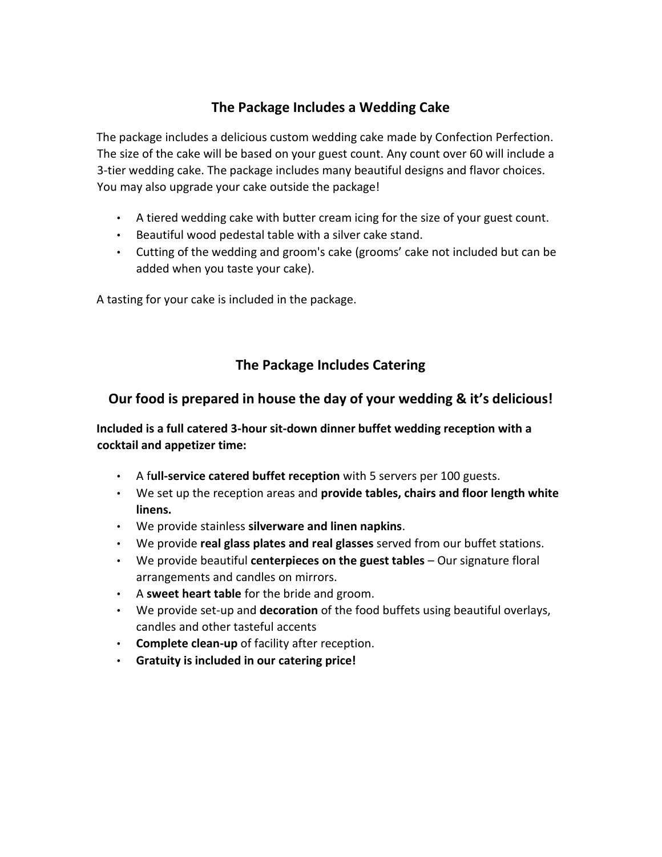# **The Package Includes a Wedding Cake**

The package includes a delicious custom wedding cake made by Confection Perfection. The size of the cake will be based on your guest count. Any count over 60 will include a 3-tier wedding cake. The package includes many beautiful designs and flavor choices. You may also upgrade your cake outside the package!

- A tiered wedding cake with butter cream icing for the size of your guest count.
- Beautiful wood pedestal table with a silver cake stand.
- Cutting of the wedding and groom's cake (grooms' cake not included but can be added when you taste your cake).

A tasting for your cake is included in the package.

# **The Package Includes Catering**

### **Our food is prepared in house the day of your wedding & it's delicious!**

**Included is a full catered 3-hour sit-down dinner buffet wedding reception with a cocktail and appetizer time:**

- A f**ull-service catered buffet reception** with 5 servers per 100 guests.
- We set up the reception areas and **provide tables, chairs and floor length white linens.**
- We provide stainless **silverware and linen napkins**.
- We provide **real glass plates and real glasses** served from our buffet stations.
- We provide beautiful **centerpieces on the guest tables** Our signature floral arrangements and candles on mirrors.
- A **sweet heart table** for the bride and groom.
- We provide set-up and **decoration** of the food buffets using beautiful overlays, candles and other tasteful accents
- **Complete clean-up** of facility after reception.
- **Gratuity is included in our catering price!**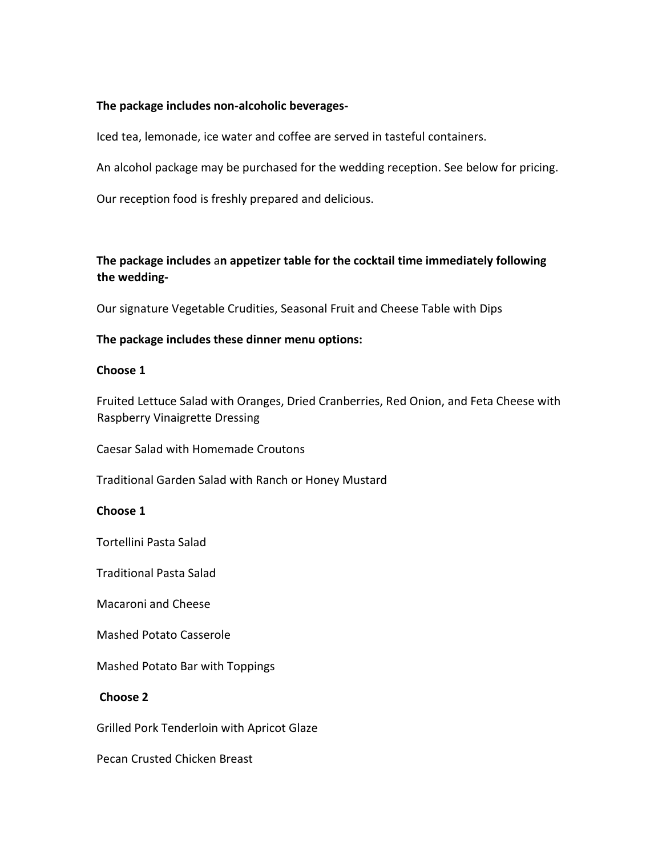#### **The package includes non-alcoholic beverages-**

Iced tea, lemonade, ice water and coffee are served in tasteful containers.

An alcohol package may be purchased for the wedding reception. See below for pricing.

Our reception food is freshly prepared and delicious.

### **The package includes** a**n appetizer table for the cocktail time immediately following the wedding-**

Our signature Vegetable Crudities, Seasonal Fruit and Cheese Table with Dips

### **The package includes these dinner menu options:**

#### **Choose 1**

Fruited Lettuce Salad with Oranges, Dried Cranberries, Red Onion, and Feta Cheese with Raspberry Vinaigrette Dressing

Caesar Salad with Homemade Croutons

Traditional Garden Salad with Ranch or Honey Mustard

### **Choose 1**

Tortellini Pasta Salad

Traditional Pasta Salad

Macaroni and Cheese

Mashed Potato Casserole

Mashed Potato Bar with Toppings

### **Choose 2**

Grilled Pork Tenderloin with Apricot Glaze

Pecan Crusted Chicken Breast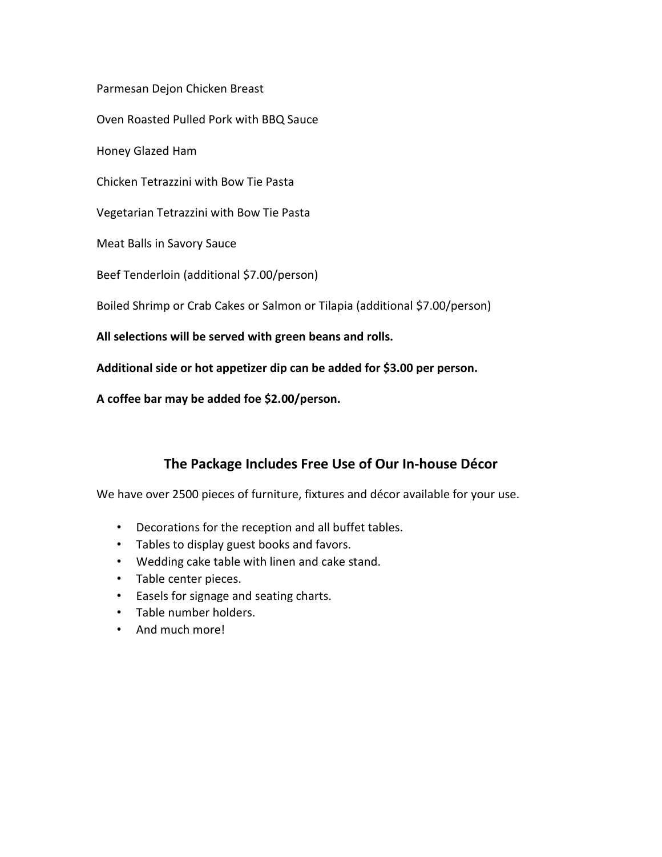Parmesan Dejon Chicken Breast

Oven Roasted Pulled Pork with BBQ Sauce

Honey Glazed Ham

Chicken Tetrazzini with Bow Tie Pasta

Vegetarian Tetrazzini with Bow Tie Pasta

Meat Balls in Savory Sauce

Beef Tenderloin (additional \$7.00/person)

Boiled Shrimp or Crab Cakes or Salmon or Tilapia (additional \$7.00/person)

**All selections will be served with green beans and rolls.** 

**Additional side or hot appetizer dip can be added for \$3.00 per person.** 

**A coffee bar may be added foe \$2.00/person.** 

## **The Package Includes Free Use of Our In-house Décor**

We have over 2500 pieces of furniture, fixtures and décor available for your use.

- Decorations for the reception and all buffet tables.
- Tables to display guest books and favors.
- Wedding cake table with linen and cake stand.
- Table center pieces.
- Easels for signage and seating charts.
- Table number holders.
- And much more!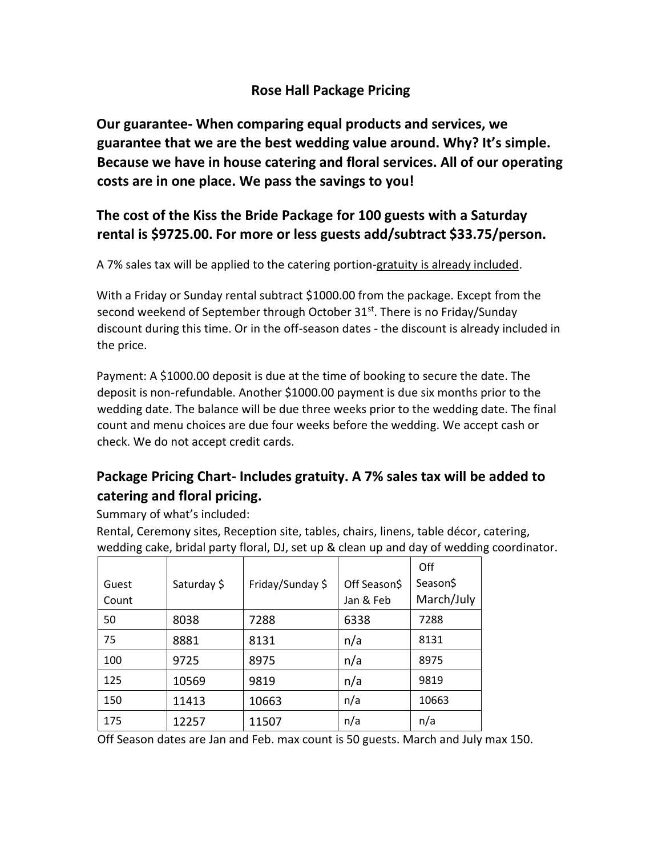# **Rose Hall Package Pricing**

**Our guarantee- When comparing equal products and services, we guarantee that we are the best wedding value around. Why? It's simple. Because we have in house catering and floral services. All of our operating costs are in one place. We pass the savings to you!** 

# **The cost of the Kiss the Bride Package for 100 guests with a Saturday rental is \$9725.00. For more or less guests add/subtract \$33.75/person.**

A 7% sales tax will be applied to the catering portion-gratuity is already included.

With a Friday or Sunday rental subtract \$1000.00 from the package. Except from the second weekend of September through October 31st. There is no Friday/Sunday discount during this time. Or in the off-season dates - the discount is already included in the price.

Payment: A \$1000.00 deposit is due at the time of booking to secure the date. The deposit is non-refundable. Another \$1000.00 payment is due six months prior to the wedding date. The balance will be due three weeks prior to the wedding date. The final count and menu choices are due four weeks before the wedding. We accept cash or check. We do not accept credit cards.

# **Package Pricing Chart- Includes gratuity. A 7% sales tax will be added to catering and floral pricing.**

Summary of what's included:

Rental, Ceremony sites, Reception site, tables, chairs, linens, table décor, catering, wedding cake, bridal party floral, DJ, set up & clean up and day of wedding coordinator.

|       |             |                  |              | Off        |
|-------|-------------|------------------|--------------|------------|
| Guest | Saturday \$ | Friday/Sunday \$ | Off Season\$ | Season\$   |
| Count |             |                  | Jan & Feb    | March/July |
| 50    | 8038        | 7288             | 6338         | 7288       |
| 75    | 8881        | 8131             | n/a          | 8131       |
| 100   | 9725        | 8975             | n/a          | 8975       |
| 125   | 10569       | 9819             | n/a          | 9819       |
| 150   | 11413       | 10663            | n/a          | 10663      |
| 175   | 12257       | 11507            | n/a          | n/a        |

Off Season dates are Jan and Feb. max count is 50 guests. March and July max 150.